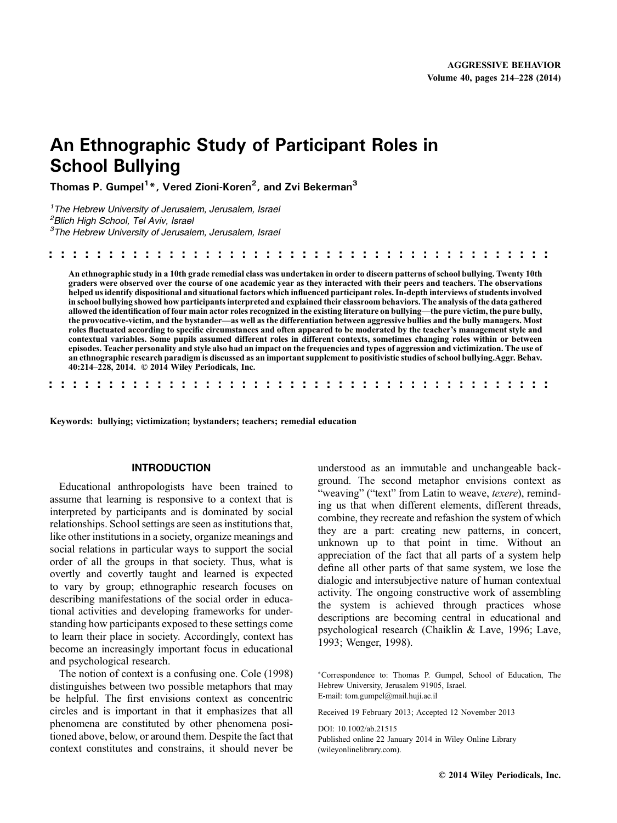# An Ethnographic Study of Participant Roles in School Bullying

Thomas P. Gumpel<sup>1</sup>\*, Vered Zioni-Koren<sup>2</sup>, and Zvi Bekerman<sup>3</sup>

<sup>1</sup>The Hebrew University of Jerusalem, Jerusalem, Israel <sup>2</sup> Blich High School, Tel Aviv, Israel <sup>3</sup>The Hebrew University of Jerusale The Hebrew University of Jerusalem, Jerusalem, Israel

# .......................................... ..........................................

An ethnographic study in a 10th grade remedial class was undertaken in order to discern patterns of school bullying. Twenty 10th graders were observed over the course of one academic year as they interacted with their peers and teachers. The observations helped us identify dispositional and situational factors which influenced participant roles. In‐depth interviews of students involved in school bullying showed how participants interpreted and explained their classroom behaviors. The analysis of the data gathered allowed the identification of four main actor roles recognized in the existing literature on bullying—the pure victim, the pure bully, the provocative‐victim, and the bystander—as well as the differentiation between aggressive bullies and the bully managers. Most roles fluctuated according to specific circumstances and often appeared to be moderated by the teacher's management style and contextual variables. Some pupils assumed different roles in different contexts, sometimes changing roles within or between episodes. Teacher personality and style also had an impact on the frequencies and types of aggression and victimization. The use of an ethnographic research paradigm is discussed as an important supplement to positivistic studies of school bullying.Aggr. Behav. 40:214–228, 2014. © 2014 Wiley Periodicals, Inc.

.......................................... ..........................................

Keywords: bullying; victimization; bystanders; teachers; remedial education

#### INTRODUCTION

Educational anthropologists have been trained to assume that learning is responsive to a context that is interpreted by participants and is dominated by social relationships. School settings are seen as institutions that, like other institutions in a society, organize meanings and social relations in particular ways to support the social order of all the groups in that society. Thus, what is overtly and covertly taught and learned is expected to vary by group; ethnographic research focuses on describing manifestations of the social order in educational activities and developing frameworks for understanding how participants exposed to these settings come to learn their place in society. Accordingly, context has become an increasingly important focus in educational and psychological research.

The notion of context is a confusing one. Cole (1998) distinguishes between two possible metaphors that may be helpful. The first envisions context as concentric circles and is important in that it emphasizes that all phenomena are constituted by other phenomena positioned above, below, or around them. Despite the fact that context constitutes and constrains, it should never be

understood as an immutable and unchangeable background. The second metaphor envisions context as "weaving" ("text" from Latin to weave, *texere*), reminding us that when different elements, different threads, combine, they recreate and refashion the system of which they are a part: creating new patterns, in concert, unknown up to that point in time. Without an appreciation of the fact that all parts of a system help define all other parts of that same system, we lose the dialogic and intersubjective nature of human contextual activity. The ongoing constructive work of assembling the system is achieved through practices whose descriptions are becoming central in educational and psychological research (Chaiklin & Lave, 1996; Lave, 1993; Wenger, 1998).

Correspondence to: Thomas P. Gumpel, School of Education, The Hebrew University, Jerusalem 91905, Israel. E‐mail: tom.gumpel@mail.huji.ac.il

Received 19 February 2013; Accepted 12 November 2013

DOI: 10.1002/ab.21515

Published online 22 January 2014 in Wiley Online Library (wileyonlinelibrary.com).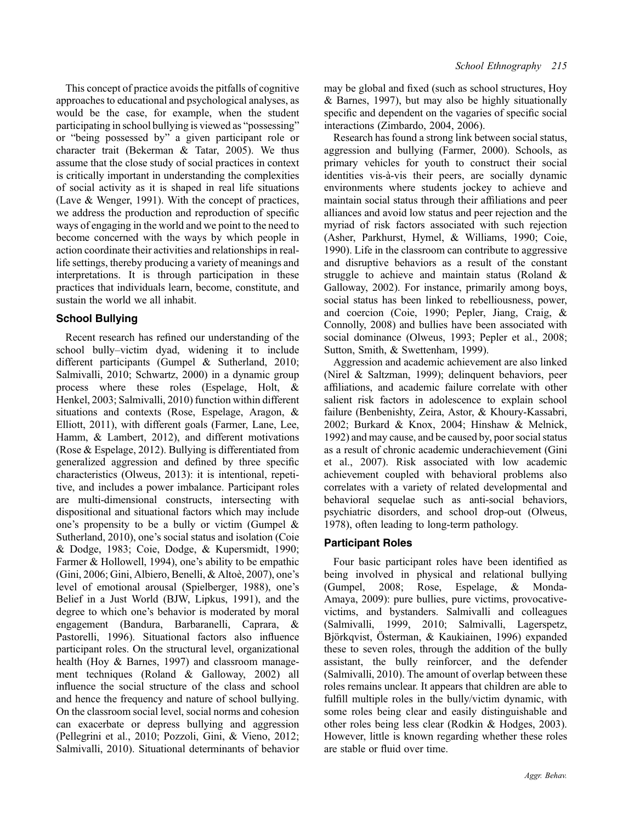This concept of practice avoids the pitfalls of cognitive approaches to educational and psychological analyses, as would be the case, for example, when the student participating in school bullying is viewed as "possessing" or "being possessed by" a given participant role or character trait (Bekerman & Tatar, 2005). We thus assume that the close study of social practices in context is critically important in understanding the complexities of social activity as it is shaped in real life situations (Lave & Wenger, 1991). With the concept of practices, we address the production and reproduction of specific ways of engaging in the world and we point to the need to become concerned with the ways by which people in action coordinate their activities and relationships in real‐ life settings, thereby producing a variety of meanings and interpretations. It is through participation in these practices that individuals learn, become, constitute, and sustain the world we all inhabit.

# School Bullying

Recent research has refined our understanding of the school bully–victim dyad, widening it to include different participants (Gumpel & Sutherland, 2010; Salmivalli, 2010; Schwartz, 2000) in a dynamic group process where these roles (Espelage, Holt, & Henkel, 2003; Salmivalli, 2010) function within different situations and contexts (Rose, Espelage, Aragon, & Elliott, 2011), with different goals (Farmer, Lane, Lee, Hamm, & Lambert, 2012), and different motivations (Rose & Espelage, 2012). Bullying is differentiated from generalized aggression and defined by three specific characteristics (Olweus, 2013): it is intentional, repetitive, and includes a power imbalance. Participant roles are multi-dimensional constructs, intersecting with dispositional and situational factors which may include one's propensity to be a bully or victim (Gumpel & Sutherland, 2010), one's social status and isolation (Coie & Dodge, 1983; Coie, Dodge, & Kupersmidt, 1990; Farmer & Hollowell, 1994), one's ability to be empathic (Gini, 2006; Gini, Albiero, Benelli, & Altoè, 2007), one's level of emotional arousal (Spielberger, 1988), one's Belief in a Just World (BJW, Lipkus, 1991), and the degree to which one's behavior is moderated by moral engagement (Bandura, Barbaranelli, Caprara, & Pastorelli, 1996). Situational factors also influence participant roles. On the structural level, organizational health (Hoy & Barnes, 1997) and classroom management techniques (Roland & Galloway, 2002) all influence the social structure of the class and school and hence the frequency and nature of school bullying. On the classroom social level, social norms and cohesion can exacerbate or depress bullying and aggression (Pellegrini et al., 2010; Pozzoli, Gini, & Vieno, 2012; Salmivalli, 2010). Situational determinants of behavior may be global and fixed (such as school structures, Hoy & Barnes, 1997), but may also be highly situationally specific and dependent on the vagaries of specific social interactions (Zimbardo, 2004, 2006).

Research has found a strong link between social status, aggression and bullying (Farmer, 2000). Schools, as primary vehicles for youth to construct their social identities vis‐à‐vis their peers, are socially dynamic environments where students jockey to achieve and maintain social status through their affiliations and peer alliances and avoid low status and peer rejection and the myriad of risk factors associated with such rejection (Asher, Parkhurst, Hymel, & Williams, 1990; Coie, 1990). Life in the classroom can contribute to aggressive and disruptive behaviors as a result of the constant struggle to achieve and maintain status (Roland & Galloway, 2002). For instance, primarily among boys, social status has been linked to rebelliousness, power, and coercion (Coie, 1990; Pepler, Jiang, Craig, & Connolly, 2008) and bullies have been associated with social dominance (Olweus, 1993; Pepler et al., 2008; Sutton, Smith, & Swettenham, 1999).

Aggression and academic achievement are also linked (Nirel & Saltzman, 1999); delinquent behaviors, peer affiliations, and academic failure correlate with other salient risk factors in adolescence to explain school failure (Benbenishty, Zeira, Astor, & Khoury‐Kassabri, 2002; Burkard & Knox, 2004; Hinshaw & Melnick, 1992) and may cause, and be caused by, poor social status as a result of chronic academic underachievement (Gini et al., 2007). Risk associated with low academic achievement coupled with behavioral problems also correlates with a variety of related developmental and behavioral sequelae such as anti‐social behaviors, psychiatric disorders, and school drop‐out (Olweus, 1978), often leading to long‐term pathology.

# Participant Roles

Four basic participant roles have been identified as being involved in physical and relational bullying (Gumpel, 2008; Rose, Espelage, & Monda‐ Amaya, 2009): pure bullies, pure victims, provocative‐ victims, and bystanders. Salmivalli and colleagues (Salmivalli, 1999, 2010; Salmivalli, Lagerspetz, Björkqvist, Österman, & Kaukiainen, 1996) expanded these to seven roles, through the addition of the bully assistant, the bully reinforcer, and the defender (Salmivalli, 2010). The amount of overlap between these roles remains unclear. It appears that children are able to fulfill multiple roles in the bully/victim dynamic, with some roles being clear and easily distinguishable and other roles being less clear (Rodkin & Hodges, 2003). However, little is known regarding whether these roles are stable or fluid over time.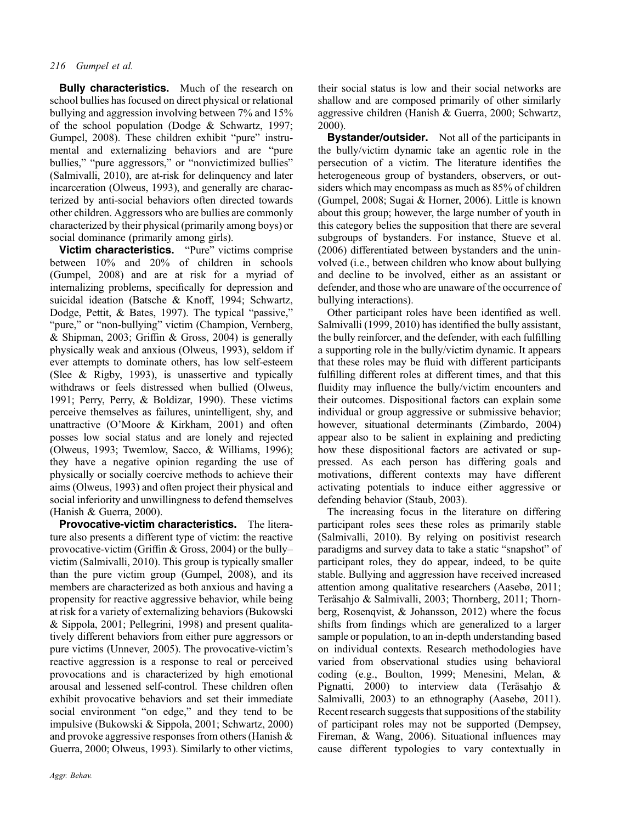**Bully characteristics.** Much of the research on school bullies has focused on direct physical or relational bullying and aggression involving between 7% and 15% of the school population (Dodge & Schwartz, 1997; Gumpel, 2008). These children exhibit "pure" instrumental and externalizing behaviors and are "pure bullies," "pure aggressors," or "nonvictimized bullies" (Salmivalli, 2010), are at‐risk for delinquency and later incarceration (Olweus, 1993), and generally are characterized by anti‐social behaviors often directed towards other children. Aggressors who are bullies are commonly characterized by their physical (primarily among boys) or social dominance (primarily among girls).

Victim characteristics. "Pure" victims comprise between 10% and 20% of children in schools (Gumpel, 2008) and are at risk for a myriad of internalizing problems, specifically for depression and suicidal ideation (Batsche & Knoff, 1994; Schwartz, Dodge, Pettit, & Bates, 1997). The typical "passive," "pure," or "non-bullying" victim (Champion, Vernberg, & Shipman, 2003; Griffin & Gross, 2004) is generally physically weak and anxious (Olweus, 1993), seldom if ever attempts to dominate others, has low self‐esteem (Slee & Rigby, 1993), is unassertive and typically withdraws or feels distressed when bullied (Olweus, 1991; Perry, Perry, & Boldizar, 1990). These victims perceive themselves as failures, unintelligent, shy, and unattractive (O'Moore & Kirkham, 2001) and often posses low social status and are lonely and rejected (Olweus, 1993; Twemlow, Sacco, & Williams, 1996); they have a negative opinion regarding the use of physically or socially coercive methods to achieve their aims (Olweus, 1993) and often project their physical and social inferiority and unwillingness to defend themselves (Hanish & Guerra, 2000).

Provocative-victim characteristics. The literature also presents a different type of victim: the reactive provocative‐victim (Griffin & Gross, 2004) or the bully– victim (Salmivalli, 2010). This group is typically smaller than the pure victim group (Gumpel, 2008), and its members are characterized as both anxious and having a propensity for reactive aggressive behavior, while being at risk for a variety of externalizing behaviors (Bukowski & Sippola, 2001; Pellegrini, 1998) and present qualitatively different behaviors from either pure aggressors or pure victims (Unnever, 2005). The provocative-victim's reactive aggression is a response to real or perceived provocations and is characterized by high emotional arousal and lessened self‐control. These children often exhibit provocative behaviors and set their immediate social environment "on edge," and they tend to be impulsive (Bukowski & Sippola, 2001; Schwartz, 2000) and provoke aggressive responses from others (Hanish & Guerra, 2000; Olweus, 1993). Similarly to other victims,

Aggr. Behav.

their social status is low and their social networks are shallow and are composed primarily of other similarly aggressive children (Hanish & Guerra, 2000; Schwartz, 2000).

**Bystander/outsider.** Not all of the participants in the bully/victim dynamic take an agentic role in the persecution of a victim. The literature identifies the heterogeneous group of bystanders, observers, or outsiders which may encompass as much as 85% of children (Gumpel, 2008; Sugai & Horner, 2006). Little is known about this group; however, the large number of youth in this category belies the supposition that there are several subgroups of bystanders. For instance, Stueve et al. (2006) differentiated between bystanders and the uninvolved (i.e., between children who know about bullying and decline to be involved, either as an assistant or defender, and those who are unaware of the occurrence of bullying interactions).

Other participant roles have been identified as well. Salmivalli (1999, 2010) has identified the bully assistant, the bully reinforcer, and the defender, with each fulfilling a supporting role in the bully/victim dynamic. It appears that these roles may be fluid with different participants fulfilling different roles at different times, and that this fluidity may influence the bully/victim encounters and their outcomes. Dispositional factors can explain some individual or group aggressive or submissive behavior; however, situational determinants (Zimbardo, 2004) appear also to be salient in explaining and predicting how these dispositional factors are activated or suppressed. As each person has differing goals and motivations, different contexts may have different activating potentials to induce either aggressive or defending behavior (Staub, 2003).

The increasing focus in the literature on differing participant roles sees these roles as primarily stable (Salmivalli, 2010). By relying on positivist research paradigms and survey data to take a static "snapshot" of participant roles, they do appear, indeed, to be quite stable. Bullying and aggression have received increased attention among qualitative researchers (Aasebø, 2011; Teräsahjo & Salmivalli, 2003; Thornberg, 2011; Thornberg, Rosenqvist, & Johansson, 2012) where the focus shifts from findings which are generalized to a larger sample or population, to an in‐depth understanding based on individual contexts. Research methodologies have varied from observational studies using behavioral coding (e.g., Boulton, 1999; Menesini, Melan, & Pignatti, 2000) to interview data (Teräsahjo & Salmivalli, 2003) to an ethnography (Aasebø, 2011). Recent research suggests that suppositions of the stability of participant roles may not be supported (Dempsey, Fireman, & Wang, 2006). Situational influences may cause different typologies to vary contextually in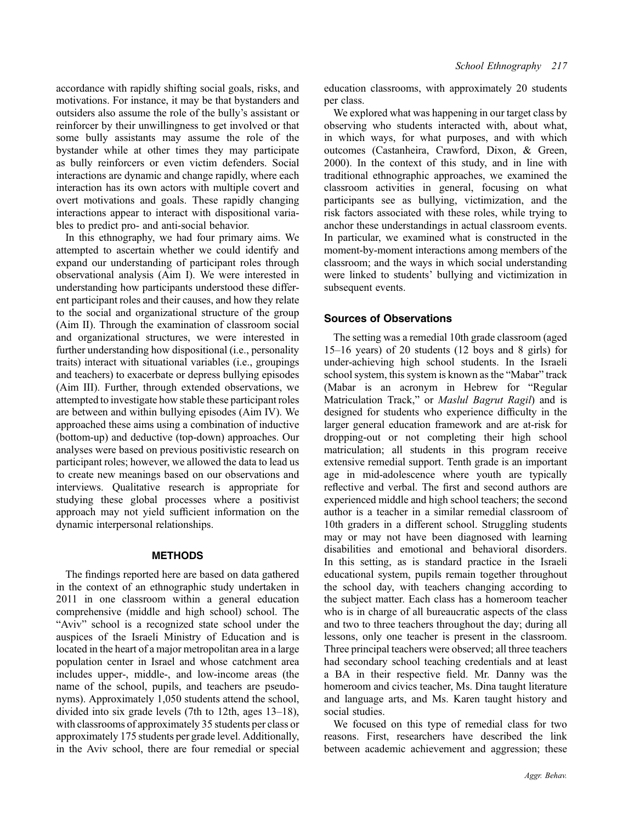accordance with rapidly shifting social goals, risks, and motivations. For instance, it may be that bystanders and outsiders also assume the role of the bully's assistant or reinforcer by their unwillingness to get involved or that some bully assistants may assume the role of the bystander while at other times they may participate as bully reinforcers or even victim defenders. Social interactions are dynamic and change rapidly, where each interaction has its own actors with multiple covert and overt motivations and goals. These rapidly changing interactions appear to interact with dispositional variables to predict pro‐ and anti‐social behavior.

In this ethnography, we had four primary aims. We attempted to ascertain whether we could identify and expand our understanding of participant roles through observational analysis (Aim I). We were interested in understanding how participants understood these different participant roles and their causes, and how they relate to the social and organizational structure of the group (Aim II). Through the examination of classroom social and organizational structures, we were interested in further understanding how dispositional (i.e., personality traits) interact with situational variables (i.e., groupings and teachers) to exacerbate or depress bullying episodes (Aim III). Further, through extended observations, we attempted to investigate how stable these participant roles are between and within bullying episodes (Aim IV). We approached these aims using a combination of inductive (bottom‐up) and deductive (top‐down) approaches. Our analyses were based on previous positivistic research on participant roles; however, we allowed the data to lead us to create new meanings based on our observations and interviews. Qualitative research is appropriate for studying these global processes where a positivist approach may not yield sufficient information on the dynamic interpersonal relationships.

#### METHODS

The findings reported here are based on data gathered in the context of an ethnographic study undertaken in 2011 in one classroom within a general education comprehensive (middle and high school) school. The "Aviv" school is a recognized state school under the auspices of the Israeli Ministry of Education and is located in the heart of a major metropolitan area in a large population center in Israel and whose catchment area includes upper‐, middle‐, and low‐income areas (the name of the school, pupils, and teachers are pseudonyms). Approximately 1,050 students attend the school, divided into six grade levels (7th to 12th, ages 13–18), with classrooms of approximately 35 students per class or approximately 175 students per grade level. Additionally, in the Aviv school, there are four remedial or special education classrooms, with approximately 20 students per class.

We explored what was happening in our target class by observing who students interacted with, about what, in which ways, for what purposes, and with which outcomes (Castanheira, Crawford, Dixon, & Green, 2000). In the context of this study, and in line with traditional ethnographic approaches, we examined the classroom activities in general, focusing on what participants see as bullying, victimization, and the risk factors associated with these roles, while trying to anchor these understandings in actual classroom events. In particular, we examined what is constructed in the moment-by-moment interactions among members of the classroom; and the ways in which social understanding were linked to students' bullying and victimization in subsequent events.

#### Sources of Observations

The setting was a remedial 10th grade classroom (aged 15–16 years) of 20 students (12 boys and 8 girls) for under‐achieving high school students. In the Israeli school system, this system is known as the "Mabar" track (Mabar is an acronym in Hebrew for "Regular Matriculation Track," or Maslul Bagrut Ragil) and is designed for students who experience difficulty in the larger general education framework and are at‐risk for dropping‐out or not completing their high school matriculation; all students in this program receive extensive remedial support. Tenth grade is an important age in mid‐adolescence where youth are typically reflective and verbal. The first and second authors are experienced middle and high school teachers; the second author is a teacher in a similar remedial classroom of 10th graders in a different school. Struggling students may or may not have been diagnosed with learning disabilities and emotional and behavioral disorders. In this setting, as is standard practice in the Israeli educational system, pupils remain together throughout the school day, with teachers changing according to the subject matter. Each class has a homeroom teacher who is in charge of all bureaucratic aspects of the class and two to three teachers throughout the day; during all lessons, only one teacher is present in the classroom. Three principal teachers were observed; all three teachers had secondary school teaching credentials and at least a BA in their respective field. Mr. Danny was the homeroom and civics teacher, Ms. Dina taught literature and language arts, and Ms. Karen taught history and social studies.

We focused on this type of remedial class for two reasons. First, researchers have described the link between academic achievement and aggression; these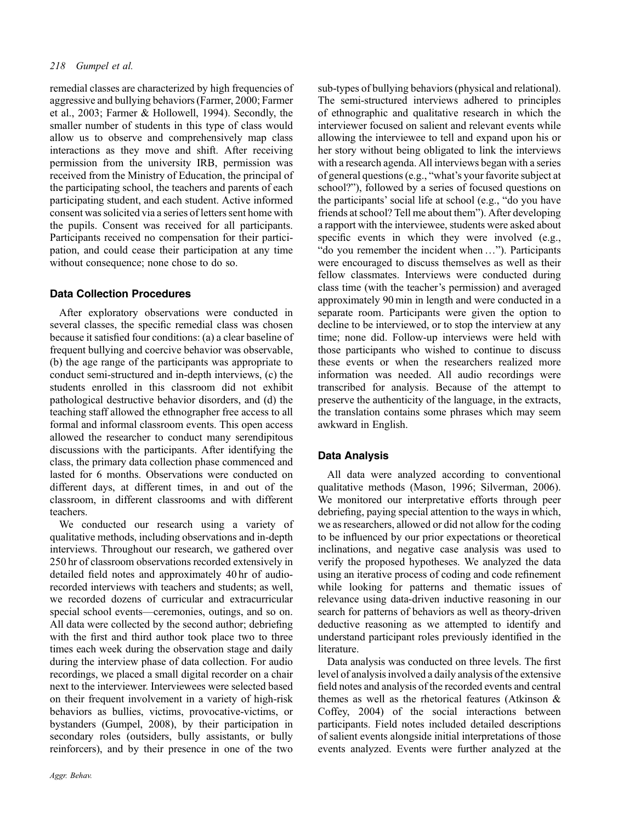remedial classes are characterized by high frequencies of aggressive and bullying behaviors (Farmer, 2000; Farmer et al., 2003; Farmer & Hollowell, 1994). Secondly, the smaller number of students in this type of class would allow us to observe and comprehensively map class interactions as they move and shift. After receiving permission from the university IRB, permission was received from the Ministry of Education, the principal of the participating school, the teachers and parents of each participating student, and each student. Active informed consent was solicited via a series of letters sent home with the pupils. Consent was received for all participants. Participants received no compensation for their participation, and could cease their participation at any time without consequence; none chose to do so.

# Data Collection Procedures

After exploratory observations were conducted in several classes, the specific remedial class was chosen because it satisfied four conditions: (a) a clear baseline of frequent bullying and coercive behavior was observable, (b) the age range of the participants was appropriate to conduct semi‐structured and in‐depth interviews, (c) the students enrolled in this classroom did not exhibit pathological destructive behavior disorders, and (d) the teaching staff allowed the ethnographer free access to all formal and informal classroom events. This open access allowed the researcher to conduct many serendipitous discussions with the participants. After identifying the class, the primary data collection phase commenced and lasted for 6 months. Observations were conducted on different days, at different times, in and out of the classroom, in different classrooms and with different teachers.

We conducted our research using a variety of qualitative methods, including observations and in‐depth interviews. Throughout our research, we gathered over 250 hr of classroom observations recorded extensively in detailed field notes and approximately 40 hr of audio‐ recorded interviews with teachers and students; as well, we recorded dozens of curricular and extracurricular special school events—ceremonies, outings, and so on. All data were collected by the second author; debriefing with the first and third author took place two to three times each week during the observation stage and daily during the interview phase of data collection. For audio recordings, we placed a small digital recorder on a chair next to the interviewer. Interviewees were selected based on their frequent involvement in a variety of high‐risk behaviors as bullies, victims, provocative‐victims, or bystanders (Gumpel, 2008), by their participation in secondary roles (outsiders, bully assistants, or bully reinforcers), and by their presence in one of the two sub‐types of bullying behaviors (physical and relational). The semi-structured interviews adhered to principles of ethnographic and qualitative research in which the interviewer focused on salient and relevant events while allowing the interviewee to tell and expand upon his or her story without being obligated to link the interviews with a research agenda. All interviews began with a series of general questions (e.g., "what's your favorite subject at school?"), followed by a series of focused questions on the participants' social life at school (e.g., "do you have friends at school? Tell me about them"). After developing a rapport with the interviewee, students were asked about specific events in which they were involved (e.g., "do you remember the incident when…"). Participants were encouraged to discuss themselves as well as their fellow classmates. Interviews were conducted during class time (with the teacher's permission) and averaged approximately 90 min in length and were conducted in a separate room. Participants were given the option to decline to be interviewed, or to stop the interview at any time; none did. Follow‐up interviews were held with those participants who wished to continue to discuss these events or when the researchers realized more information was needed. All audio recordings were transcribed for analysis. Because of the attempt to preserve the authenticity of the language, in the extracts, the translation contains some phrases which may seem awkward in English.

# Data Analysis

All data were analyzed according to conventional qualitative methods (Mason, 1996; Silverman, 2006). We monitored our interpretative efforts through peer debriefing, paying special attention to the ways in which, we as researchers, allowed or did not allow for the coding to be influenced by our prior expectations or theoretical inclinations, and negative case analysis was used to verify the proposed hypotheses. We analyzed the data using an iterative process of coding and code refinement while looking for patterns and thematic issues of relevance using data‐driven inductive reasoning in our search for patterns of behaviors as well as theory-driven deductive reasoning as we attempted to identify and understand participant roles previously identified in the literature.

Data analysis was conducted on three levels. The first level of analysis involved a daily analysis of the extensive field notes and analysis of the recorded events and central themes as well as the rhetorical features (Atkinson & Coffey, 2004) of the social interactions between participants. Field notes included detailed descriptions of salient events alongside initial interpretations of those events analyzed. Events were further analyzed at the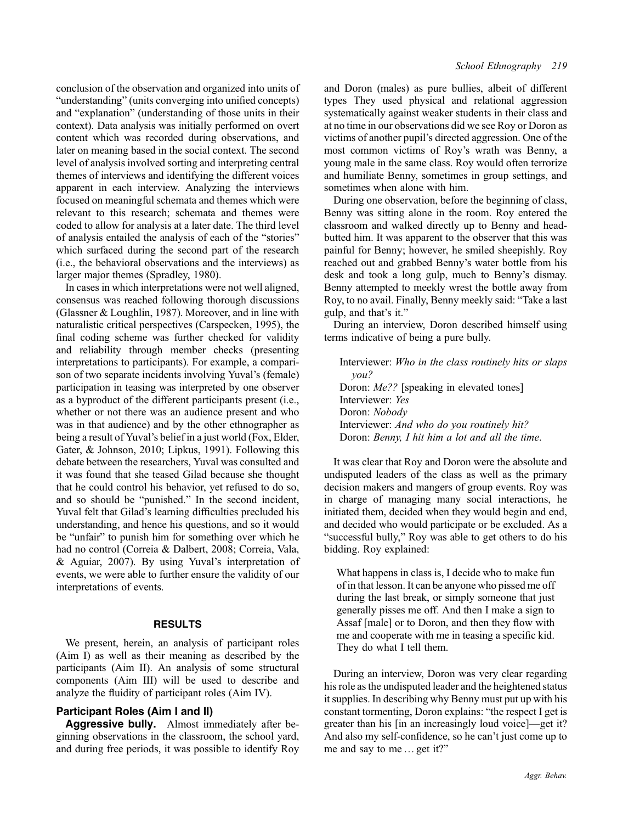conclusion of the observation and organized into units of "understanding" (units converging into unified concepts) and "explanation" (understanding of those units in their context). Data analysis was initially performed on overt content which was recorded during observations, and later on meaning based in the social context. The second level of analysis involved sorting and interpreting central themes of interviews and identifying the different voices apparent in each interview. Analyzing the interviews focused on meaningful schemata and themes which were relevant to this research; schemata and themes were coded to allow for analysis at a later date. The third level of analysis entailed the analysis of each of the "stories" which surfaced during the second part of the research (i.e., the behavioral observations and the interviews) as larger major themes (Spradley, 1980).

In cases in which interpretations were not well aligned, consensus was reached following thorough discussions (Glassner & Loughlin, 1987). Moreover, and in line with naturalistic critical perspectives (Carspecken, 1995), the final coding scheme was further checked for validity and reliability through member checks (presenting interpretations to participants). For example, a comparison of two separate incidents involving Yuval's (female) participation in teasing was interpreted by one observer as a byproduct of the different participants present (i.e., whether or not there was an audience present and who was in that audience) and by the other ethnographer as being a result of Yuval's belief in a just world (Fox, Elder, Gater, & Johnson, 2010; Lipkus, 1991). Following this debate between the researchers, Yuval was consulted and it was found that she teased Gilad because she thought that he could control his behavior, yet refused to do so, and so should be "punished." In the second incident, Yuval felt that Gilad's learning difficulties precluded his understanding, and hence his questions, and so it would be "unfair" to punish him for something over which he had no control (Correia & Dalbert, 2008; Correia, Vala, & Aguiar, 2007). By using Yuval's interpretation of events, we were able to further ensure the validity of our interpretations of events.

#### RESULTS

We present, herein, an analysis of participant roles (Aim I) as well as their meaning as described by the participants (Aim II). An analysis of some structural components (Aim III) will be used to describe and analyze the fluidity of participant roles (Aim IV).

# Participant Roles (Aim I and II)

Aggressive bully. Almost immediately after beginning observations in the classroom, the school yard, and during free periods, it was possible to identify Roy and Doron (males) as pure bullies, albeit of different types They used physical and relational aggression systematically against weaker students in their class and at no time in our observations did we see Roy or Doron as victims of another pupil's directed aggression. One of the most common victims of Roy's wrath was Benny, a young male in the same class. Roy would often terrorize and humiliate Benny, sometimes in group settings, and sometimes when alone with him.

During one observation, before the beginning of class, Benny was sitting alone in the room. Roy entered the classroom and walked directly up to Benny and head‐ butted him. It was apparent to the observer that this was painful for Benny; however, he smiled sheepishly. Roy reached out and grabbed Benny's water bottle from his desk and took a long gulp, much to Benny's dismay. Benny attempted to meekly wrest the bottle away from Roy, to no avail. Finally, Benny meekly said: "Take a last gulp, and that's it."

During an interview, Doron described himself using terms indicative of being a pure bully.

Interviewer: Who in the class routinely hits or slaps you? Doron: Me?? [speaking in elevated tones] Interviewer: Yes Doron: Nobody Interviewer: And who do you routinely hit? Doron: Benny, I hit him a lot and all the time.

It was clear that Roy and Doron were the absolute and undisputed leaders of the class as well as the primary decision makers and mangers of group events. Roy was in charge of managing many social interactions, he initiated them, decided when they would begin and end, and decided who would participate or be excluded. As a "successful bully," Roy was able to get others to do his bidding. Roy explained:

What happens in class is, I decide who to make fun of in that lesson. It can be anyone who pissed me off during the last break, or simply someone that just generally pisses me off. And then I make a sign to Assaf [male] or to Doron, and then they flow with me and cooperate with me in teasing a specific kid. They do what I tell them.

During an interview, Doron was very clear regarding his role as the undisputed leader and the heightened status it supplies. In describing why Benny must put up with his constant tormenting, Doron explains: "the respect I get is greater than his [in an increasingly loud voice]—get it? And also my self‐confidence, so he can't just come up to me and say to me …get it?"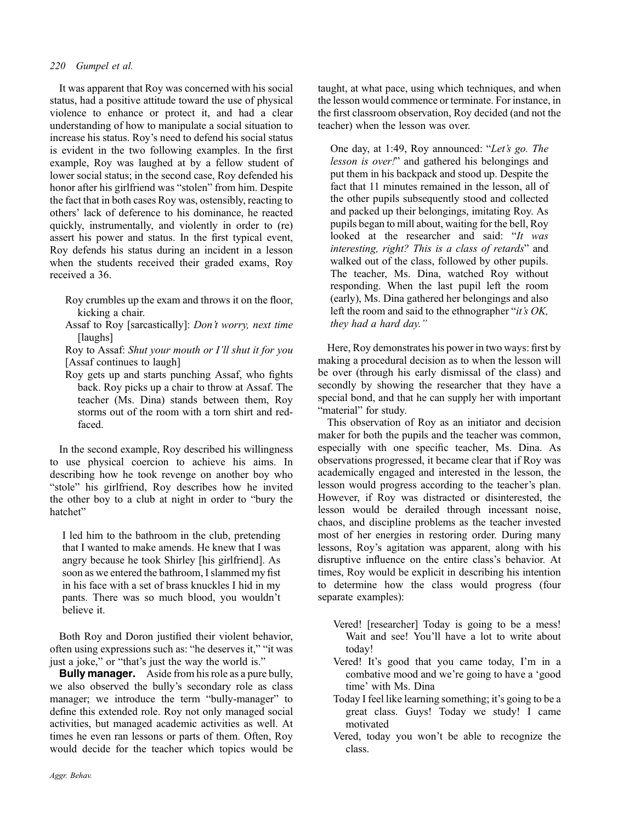It was apparent that Roy was concerned with his social status, had a positive attitude toward the use of physical violence to enhance or protect it, and had a clear understanding of how to manipulate a social situation to increase his status. Roy's need to defend his social status is evident in the two following examples. In the first example, Roy was laughed at by a fellow student of lower social status; in the second case, Roy defended his honor after his girlfriend was "stolen" from him. Despite the fact that in both cases Roy was, ostensibly, reacting to others' lack of deference to his dominance, he reacted quickly, instrumentally, and violently in order to (re) assert his power and status. In the first typical event, Roy defends his status during an incident in a lesson when the students received their graded exams, Roy received a 36.

- Roy crumbles up the exam and throws it on the floor, kicking a chair.
- Assaf to Roy [sarcastically]: Don't worry, next time [laughs]
- Roy to Assaf: Shut your mouth or I'll shut it for you [Assaf continues to laugh]
- Roy gets up and starts punching Assaf, who fights back. Roy picks up a chair to throw at Assaf. The teacher (Ms. Dina) stands between them, Roy storms out of the room with a torn shirt and red‐ faced.

In the second example, Roy described his willingness to use physical coercion to achieve his aims. In describing how he took revenge on another boy who "stole" his girlfriend, Roy describes how he invited the other boy to a club at night in order to "bury the hatchet"

I led him to the bathroom in the club, pretending that I wanted to make amends. He knew that I was angry because he took Shirley [his girlfriend]. As soon as we entered the bathroom, I slammed my fist in his face with a set of brass knuckles I hid in my pants. There was so much blood, you wouldn't believe it.

Both Roy and Doron justified their violent behavior, often using expressions such as: "he deserves it," "it was just a joke," or "that's just the way the world is."

**Bully manager.** Aside from his role as a pure bully, we also observed the bully's secondary role as class manager; we introduce the term "bully-manager" to define this extended role. Roy not only managed social activities, but managed academic activities as well. At times he even ran lessons or parts of them. Often, Roy would decide for the teacher which topics would be

taught, at what pace, using which techniques, and when the lesson would commence or terminate. For instance, in the first classroom observation, Roy decided (and not the teacher) when the lesson was over.

One day, at 1:49, Roy announced: "Let's go. The lesson is over!" and gathered his belongings and put them in his backpack and stood up. Despite the fact that 11 minutes remained in the lesson, all of the other pupils subsequently stood and collected and packed up their belongings, imitating Roy. As pupils began to mill about, waiting for the bell, Roy looked at the researcher and said: "It was interesting, right? This is a class of retards" and walked out of the class, followed by other pupils. The teacher, Ms. Dina, watched Roy without responding. When the last pupil left the room (early), Ms. Dina gathered her belongings and also left the room and said to the ethnographer "it's  $OK$ , they had a hard day."

Here, Roy demonstrates his power in two ways: first by making a procedural decision as to when the lesson will be over (through his early dismissal of the class) and secondly by showing the researcher that they have a special bond, and that he can supply her with important "material" for study.

This observation of Roy as an initiator and decision maker for both the pupils and the teacher was common, especially with one specific teacher, Ms. Dina. As observations progressed, it became clear that if Roy was academically engaged and interested in the lesson, the lesson would progress according to the teacher's plan. However, if Roy was distracted or disinterested, the lesson would be derailed through incessant noise, chaos, and discipline problems as the teacher invested most of her energies in restoring order. During many lessons, Roy's agitation was apparent, along with his disruptive influence on the entire class's behavior. At times, Roy would be explicit in describing his intention to determine how the class would progress (four separate examples):

- Vered! [researcher] Today is going to be a mess! Wait and see! You'll have a lot to write about today!
- Vered! It's good that you came today, I'm in a combative mood and we're going to have a 'good time' with Ms. Dina
- Today I feel like learning something; it's going to be a great class. Guys! Today we study! I came motivated
- Vered, today you won't be able to recognize the class.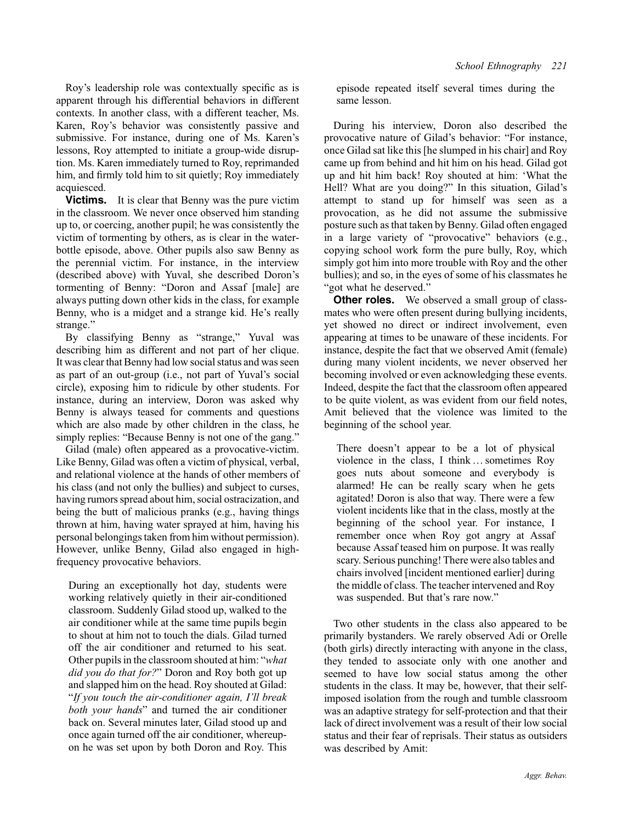Roy's leadership role was contextually specific as is apparent through his differential behaviors in different contexts. In another class, with a different teacher, Ms. Karen, Roy's behavior was consistently passive and submissive. For instance, during one of Ms. Karen's lessons, Roy attempted to initiate a group‐wide disruption. Ms. Karen immediately turned to Roy, reprimanded him, and firmly told him to sit quietly; Roy immediately acquiesced.

**Victims.** It is clear that Benny was the pure victim in the classroom. We never once observed him standing up to, or coercing, another pupil; he was consistently the victim of tormenting by others, as is clear in the water‐ bottle episode, above. Other pupils also saw Benny as the perennial victim. For instance, in the interview (described above) with Yuval, she described Doron's tormenting of Benny: "Doron and Assaf [male] are always putting down other kids in the class, for example Benny, who is a midget and a strange kid. He's really strange."

By classifying Benny as "strange," Yuval was describing him as different and not part of her clique. It was clear that Benny had low social status and was seen as part of an out‐group (i.e., not part of Yuval's social circle), exposing him to ridicule by other students. For instance, during an interview, Doron was asked why Benny is always teased for comments and questions which are also made by other children in the class, he simply replies: "Because Benny is not one of the gang."

Gilad (male) often appeared as a provocative-victim. Like Benny, Gilad was often a victim of physical, verbal, and relational violence at the hands of other members of his class (and not only the bullies) and subject to curses, having rumors spread about him, social ostracization, and being the butt of malicious pranks (e.g., having things thrown at him, having water sprayed at him, having his personal belongings taken from him without permission). However, unlike Benny, Gilad also engaged in high‐ frequency provocative behaviors.

During an exceptionally hot day, students were working relatively quietly in their air‐conditioned classroom. Suddenly Gilad stood up, walked to the air conditioner while at the same time pupils begin to shout at him not to touch the dials. Gilad turned off the air conditioner and returned to his seat. Other pupils in the classroom shouted at him: "what did you do that for?" Doron and Roy both got up and slapped him on the head. Roy shouted at Gilad: "If you touch the air‐conditioner again, I'll break both your hands" and turned the air conditioner back on. Several minutes later, Gilad stood up and once again turned off the air conditioner, whereupon he was set upon by both Doron and Roy. This episode repeated itself several times during the same lesson.

During his interview, Doron also described the provocative nature of Gilad's behavior: "For instance, once Gilad sat like this [he slumped in his chair] and Roy came up from behind and hit him on his head. Gilad got up and hit him back! Roy shouted at him: 'What the Hell? What are you doing?" In this situation, Gilad's attempt to stand up for himself was seen as a provocation, as he did not assume the submissive posture such as that taken by Benny. Gilad often engaged in a large variety of "provocative" behaviors (e.g., copying school work form the pure bully, Roy, which simply got him into more trouble with Roy and the other bullies); and so, in the eyes of some of his classmates he "got what he deserved."

**Other roles.** We observed a small group of classmates who were often present during bullying incidents, yet showed no direct or indirect involvement, even appearing at times to be unaware of these incidents. For instance, despite the fact that we observed Amit (female) during many violent incidents, we never observed her becoming involved or even acknowledging these events. Indeed, despite the fact that the classroom often appeared to be quite violent, as was evident from our field notes, Amit believed that the violence was limited to the beginning of the school year.

There doesn't appear to be a lot of physical violence in the class, I think ... sometimes Roy goes nuts about someone and everybody is alarmed! He can be really scary when he gets agitated! Doron is also that way. There were a few violent incidents like that in the class, mostly at the beginning of the school year. For instance, I remember once when Roy got angry at Assaf because Assaf teased him on purpose. It was really scary. Serious punching! There were also tables and chairs involved [incident mentioned earlier] during the middle of class. The teacher intervened and Roy was suspended. But that's rare now."

Two other students in the class also appeared to be primarily bystanders. We rarely observed Adí or Orelle (both girls) directly interacting with anyone in the class, they tended to associate only with one another and seemed to have low social status among the other students in the class. It may be, however, that their selfimposed isolation from the rough and tumble classroom was an adaptive strategy for self-protection and that their lack of direct involvement was a result of their low social status and their fear of reprisals. Their status as outsiders was described by Amit: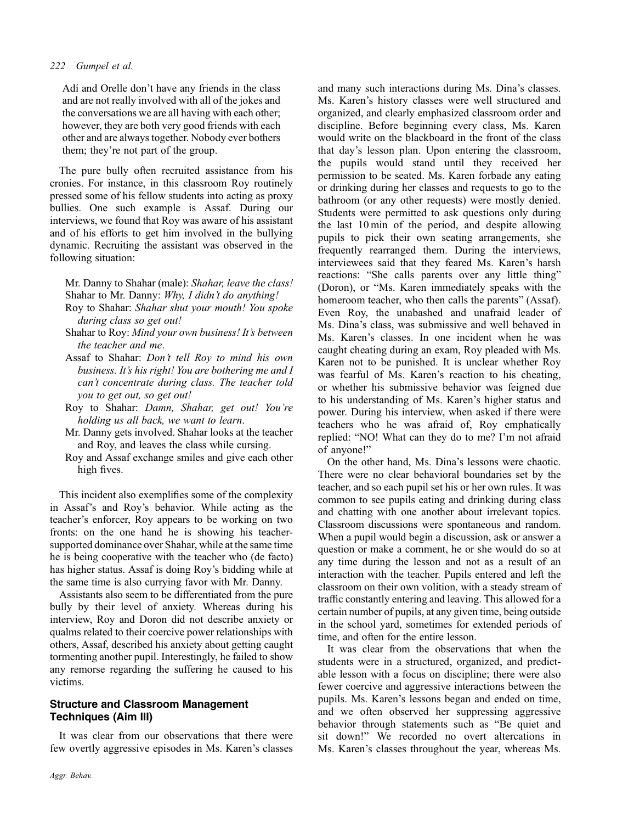Adí and Orelle don't have any friends in the class and are not really involved with all of the jokes and the conversations we are all having with each other; however, they are both very good friends with each other and are always together. Nobody ever bothers them; they're not part of the group.

The pure bully often recruited assistance from his cronies. For instance, in this classroom Roy routinely pressed some of his fellow students into acting as proxy bullies. One such example is Assaf. During our interviews, we found that Roy was aware of his assistant and of his efforts to get him involved in the bullying dynamic. Recruiting the assistant was observed in the following situation:

Mr. Danny to Shahar (male): Shahar, leave the class! Shahar to Mr. Danny: Why, I didn't do anything!

- Roy to Shahar: Shahar shut your mouth! You spoke during class so get out!
- Shahar to Roy: Mind your own business! It's between the teacher and me.
- Assaf to Shahar: Don't tell Roy to mind his own business. It's his right! You are bothering me and I can't concentrate during class. The teacher told you to get out, so get out!
- Roy to Shahar: Damn, Shahar, get out! You're holding us all back, we want to learn.
- Mr. Danny gets involved. Shahar looks at the teacher and Roy, and leaves the class while cursing.
- Roy and Assaf exchange smiles and give each other high fives.

This incident also exemplifies some of the complexity in Assaf's and Roy's behavior. While acting as the teacher's enforcer, Roy appears to be working on two fronts: on the one hand he is showing his teachersupported dominance over Shahar, while at the same time he is being cooperative with the teacher who (de facto) has higher status. Assaf is doing Roy's bidding while at the same time is also currying favor with Mr. Danny.

Assistants also seem to be differentiated from the pure bully by their level of anxiety. Whereas during his interview, Roy and Doron did not describe anxiety or qualms related to their coercive power relationships with others, Assaf, described his anxiety about getting caught tormenting another pupil. Interestingly, he failed to show any remorse regarding the suffering he caused to his victims.

# Structure and Classroom Management Techniques (Aim III)

It was clear from our observations that there were few overtly aggressive episodes in Ms. Karen's classes

and many such interactions during Ms. Dina's classes. Ms. Karen's history classes were well structured and organized, and clearly emphasized classroom order and discipline. Before beginning every class, Ms. Karen would write on the blackboard in the front of the class that day's lesson plan. Upon entering the classroom, the pupils would stand until they received her permission to be seated. Ms. Karen forbade any eating or drinking during her classes and requests to go to the bathroom (or any other requests) were mostly denied. Students were permitted to ask questions only during the last 10 min of the period, and despite allowing pupils to pick their own seating arrangements, she frequently rearranged them. During the interviews, interviewees said that they feared Ms. Karen's harsh reactions: "She calls parents over any little thing" (Doron), or "Ms. Karen immediately speaks with the homeroom teacher, who then calls the parents" (Assaf). Even Roy, the unabashed and unafraid leader of Ms. Dina's class, was submissive and well behaved in Ms. Karen's classes. In one incident when he was caught cheating during an exam, Roy pleaded with Ms. Karen not to be punished. It is unclear whether Roy was fearful of Ms. Karen's reaction to his cheating, or whether his submissive behavior was feigned due to his understanding of Ms. Karen's higher status and power. During his interview, when asked if there were teachers who he was afraid of, Roy emphatically replied: "NO! What can they do to me? I'm not afraid of anyone!"

On the other hand, Ms. Dina's lessons were chaotic. There were no clear behavioral boundaries set by the teacher, and so each pupil set his or her own rules. It was common to see pupils eating and drinking during class and chatting with one another about irrelevant topics. Classroom discussions were spontaneous and random. When a pupil would begin a discussion, ask or answer a question or make a comment, he or she would do so at any time during the lesson and not as a result of an interaction with the teacher. Pupils entered and left the classroom on their own volition, with a steady stream of traffic constantly entering and leaving. This allowed for a certain number of pupils, at any given time, being outside in the school yard, sometimes for extended periods of time, and often for the entire lesson.

It was clear from the observations that when the students were in a structured, organized, and predictable lesson with a focus on discipline; there were also fewer coercive and aggressive interactions between the pupils. Ms. Karen's lessons began and ended on time, and we often observed her suppressing aggressive behavior through statements such as "Be quiet and sit down!" We recorded no overt altercations in Ms. Karen's classes throughout the year, whereas Ms.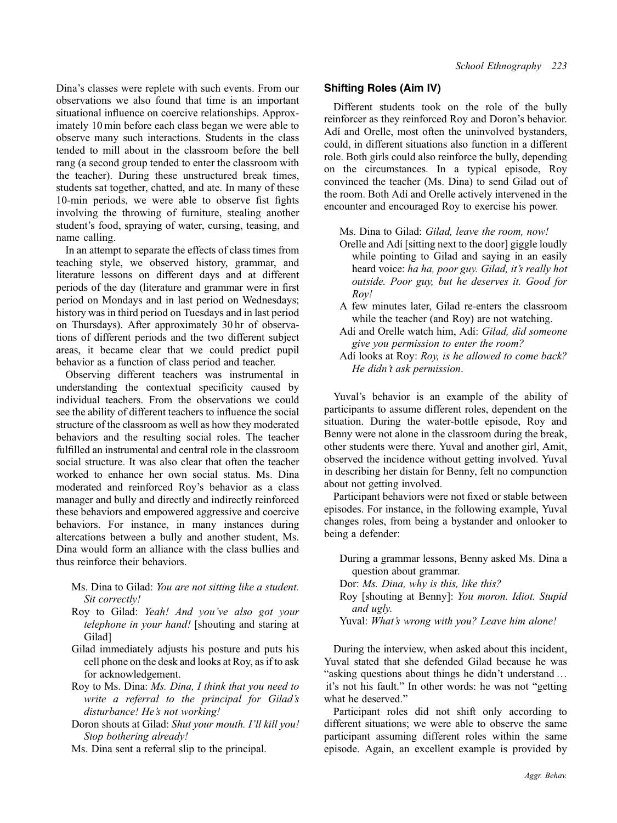Dina's classes were replete with such events. From our observations we also found that time is an important situational influence on coercive relationships. Approximately 10 min before each class began we were able to observe many such interactions. Students in the class tended to mill about in the classroom before the bell rang (a second group tended to enter the classroom with the teacher). During these unstructured break times, students sat together, chatted, and ate. In many of these 10-min periods, we were able to observe fist fights involving the throwing of furniture, stealing another student's food, spraying of water, cursing, teasing, and name calling.

In an attempt to separate the effects of class times from teaching style, we observed history, grammar, and literature lessons on different days and at different periods of the day (literature and grammar were in first period on Mondays and in last period on Wednesdays; history was in third period on Tuesdays and in last period on Thursdays). After approximately 30 hr of observations of different periods and the two different subject areas, it became clear that we could predict pupil behavior as a function of class period and teacher.

Observing different teachers was instrumental in understanding the contextual specificity caused by individual teachers. From the observations we could see the ability of different teachers to influence the social structure of the classroom as well as how they moderated behaviors and the resulting social roles. The teacher fulfilled an instrumental and central role in the classroom social structure. It was also clear that often the teacher worked to enhance her own social status. Ms. Dina moderated and reinforced Roy's behavior as a class manager and bully and directly and indirectly reinforced these behaviors and empowered aggressive and coercive behaviors. For instance, in many instances during altercations between a bully and another student, Ms. Dina would form an alliance with the class bullies and thus reinforce their behaviors.

- Ms. Dina to Gilad: You are not sitting like a student. Sit correctly!
- Roy to Gilad: Yeah! And you've also got your telephone in your hand! [shouting and staring at Gilad]
- Gilad immediately adjusts his posture and puts his cell phone on the desk and looks at Roy, as if to ask for acknowledgement.
- Roy to Ms. Dina: Ms. Dina, I think that you need to write a referral to the principal for Gilad's disturbance! He's not working!
- Doron shouts at Gilad: Shut your mouth. I'll kill you! Stop bothering already!
- Ms. Dina sent a referral slip to the principal.

#### Shifting Roles (Aim IV)

Different students took on the role of the bully reinforcer as they reinforced Roy and Doron's behavior. Adí and Orelle, most often the uninvolved bystanders, could, in different situations also function in a different role. Both girls could also reinforce the bully, depending on the circumstances. In a typical episode, Roy convinced the teacher (Ms. Dina) to send Gilad out of the room. Both Adí and Orelle actively intervened in the encounter and encouraged Roy to exercise his power.

Ms. Dina to Gilad: Gilad, leave the room, now!

- Orelle and Adí [sitting next to the door] giggle loudly while pointing to Gilad and saying in an easily heard voice: ha ha, poor guy. Gilad, it's really hot outside. Poor guy, but he deserves it. Good for Roy!
- A few minutes later, Gilad re‐enters the classroom while the teacher (and Roy) are not watching.
- Adí and Orelle watch him, Adí: Gilad, did someone give you permission to enter the room?
- Adí looks at Roy: Roy, is he allowed to come back? He didn't ask permission.

Yuval's behavior is an example of the ability of participants to assume different roles, dependent on the situation. During the water-bottle episode, Roy and Benny were not alone in the classroom during the break, other students were there. Yuval and another girl, Amit, observed the incidence without getting involved. Yuval in describing her distain for Benny, felt no compunction about not getting involved.

Participant behaviors were not fixed or stable between episodes. For instance, in the following example, Yuval changes roles, from being a bystander and onlooker to being a defender:

During a grammar lessons, Benny asked Ms. Dina a question about grammar.

- Dor: Ms. Dina, why is this, like this?
- Roy [shouting at Benny]: You moron. Idiot. Stupid and ugly.
- Yuval: What's wrong with you? Leave him alone!

During the interview, when asked about this incident, Yuval stated that she defended Gilad because he was "asking questions about things he didn't understand… it's not his fault." In other words: he was not "getting what he deserved."

Participant roles did not shift only according to different situations; we were able to observe the same participant assuming different roles within the same episode. Again, an excellent example is provided by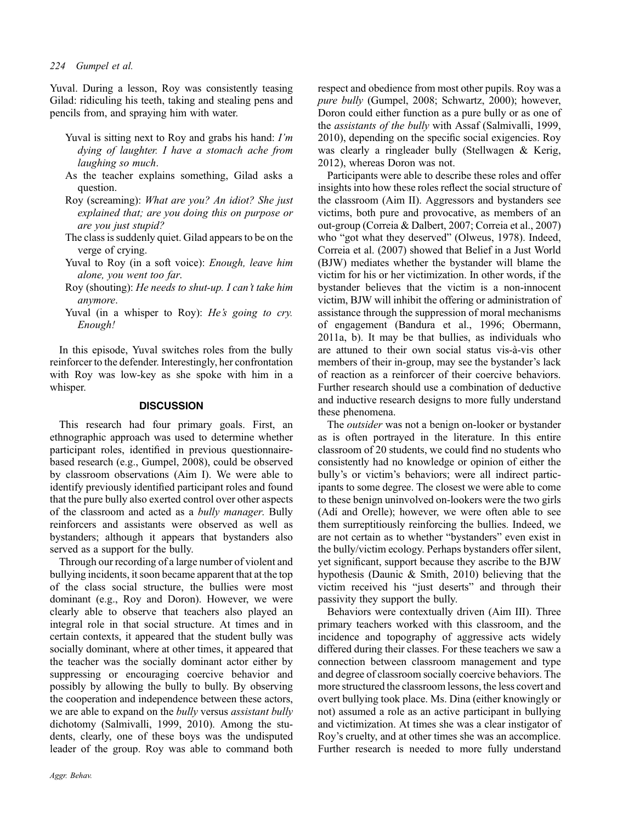Yuval. During a lesson, Roy was consistently teasing Gilad: ridiculing his teeth, taking and stealing pens and pencils from, and spraying him with water.

- Yuval is sitting next to Roy and grabs his hand:  $I'm$ dying of laughter. I have a stomach ache from laughing so much.
- As the teacher explains something, Gilad asks a question.
- Roy (screaming): What are you? An idiot? She just explained that; are you doing this on purpose or are you just stupid?
- The class is suddenly quiet. Gilad appears to be on the verge of crying.
- Yuval to Roy (in a soft voice): *Enough, leave him* alone, you went too far.
- Roy (shouting): He needs to shut‐up. I can't take him anymore.
- Yuval (in a whisper to Roy): He's going to cry. Enough!

In this episode, Yuval switches roles from the bully reinforcer to the defender. Interestingly, her confrontation with Roy was low-key as she spoke with him in a whisper.

#### **DISCUSSION**

This research had four primary goals. First, an ethnographic approach was used to determine whether participant roles, identified in previous questionnaire based research (e.g., Gumpel, 2008), could be observed by classroom observations (Aim I). We were able to identify previously identified participant roles and found that the pure bully also exerted control over other aspects of the classroom and acted as a bully manager. Bully reinforcers and assistants were observed as well as bystanders; although it appears that bystanders also served as a support for the bully.

Through our recording of a large number of violent and bullying incidents, it soon became apparent that at the top of the class social structure, the bullies were most dominant (e.g., Roy and Doron). However, we were clearly able to observe that teachers also played an integral role in that social structure. At times and in certain contexts, it appeared that the student bully was socially dominant, where at other times, it appeared that the teacher was the socially dominant actor either by suppressing or encouraging coercive behavior and possibly by allowing the bully to bully. By observing the cooperation and independence between these actors, we are able to expand on the bully versus assistant bully dichotomy (Salmivalli, 1999, 2010). Among the students, clearly, one of these boys was the undisputed leader of the group. Roy was able to command both

respect and obedience from most other pupils. Roy was a pure bully (Gumpel, 2008; Schwartz, 2000); however, Doron could either function as a pure bully or as one of the assistants of the bully with Assaf (Salmivalli, 1999, 2010), depending on the specific social exigencies. Roy was clearly a ringleader bully (Stellwagen & Kerig, 2012), whereas Doron was not.

Participants were able to describe these roles and offer insights into how these roles reflect the social structure of the classroom (Aim II). Aggressors and bystanders see victims, both pure and provocative, as members of an out‐group (Correia & Dalbert, 2007; Correia et al., 2007) who "got what they deserved" (Olweus, 1978). Indeed, Correia et al. (2007) showed that Belief in a Just World (BJW) mediates whether the bystander will blame the victim for his or her victimization. In other words, if the bystander believes that the victim is a non‐innocent victim, BJW will inhibit the offering or administration of assistance through the suppression of moral mechanisms of engagement (Bandura et al., 1996; Obermann, 2011a, b). It may be that bullies, as individuals who are attuned to their own social status vis‐à‐vis other members of their in‐group, may see the bystander's lack of reaction as a reinforcer of their coercive behaviors. Further research should use a combination of deductive and inductive research designs to more fully understand these phenomena.

The *outsider* was not a benign on-looker or bystander as is often portrayed in the literature. In this entire classroom of 20 students, we could find no students who consistently had no knowledge or opinion of either the bully's or victim's behaviors; were all indirect participants to some degree. The closest we were able to come to these benign uninvolved on‐lookers were the two girls (Adí and Orelle); however, we were often able to see them surreptitiously reinforcing the bullies. Indeed, we are not certain as to whether "bystanders" even exist in the bully/victim ecology. Perhaps bystanders offer silent, yet significant, support because they ascribe to the BJW hypothesis (Daunic & Smith, 2010) believing that the victim received his "just deserts" and through their passivity they support the bully.

Behaviors were contextually driven (Aim III). Three primary teachers worked with this classroom, and the incidence and topography of aggressive acts widely differed during their classes. For these teachers we saw a connection between classroom management and type and degree of classroom socially coercive behaviors. The more structured the classroom lessons, the less covert and overt bullying took place. Ms. Dina (either knowingly or not) assumed a role as an active participant in bullying and victimization. At times she was a clear instigator of Roy's cruelty, and at other times she was an accomplice. Further research is needed to more fully understand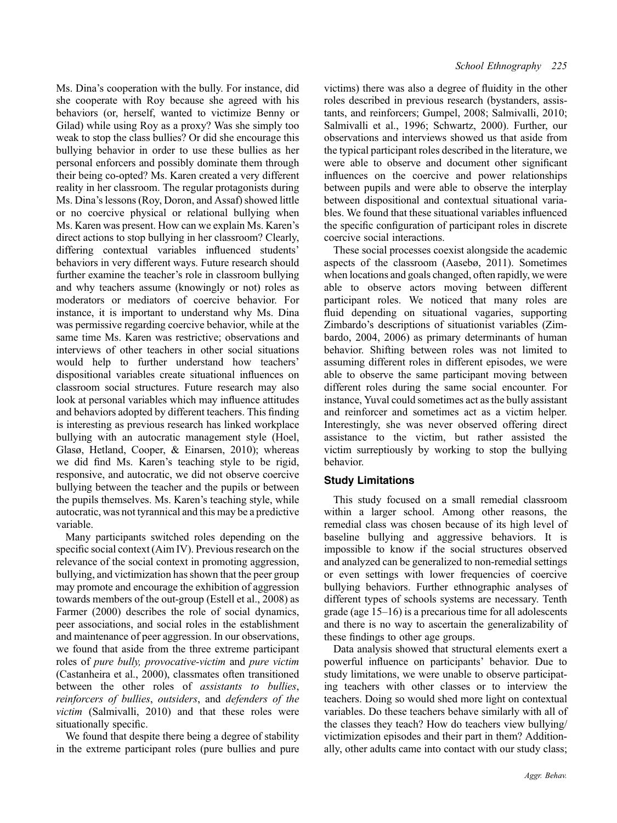Ms. Dina's cooperation with the bully. For instance, did she cooperate with Roy because she agreed with his behaviors (or, herself, wanted to victimize Benny or Gilad) while using Roy as a proxy? Was she simply too weak to stop the class bullies? Or did she encourage this bullying behavior in order to use these bullies as her personal enforcers and possibly dominate them through their being co‐opted? Ms. Karen created a very different reality in her classroom. The regular protagonists during Ms. Dina's lessons (Roy, Doron, and Assaf) showed little or no coercive physical or relational bullying when Ms. Karen was present. How can we explain Ms. Karen's direct actions to stop bullying in her classroom? Clearly, differing contextual variables influenced students' behaviors in very different ways. Future research should further examine the teacher's role in classroom bullying and why teachers assume (knowingly or not) roles as moderators or mediators of coercive behavior. For instance, it is important to understand why Ms. Dina was permissive regarding coercive behavior, while at the same time Ms. Karen was restrictive; observations and interviews of other teachers in other social situations would help to further understand how teachers' dispositional variables create situational influences on classroom social structures. Future research may also look at personal variables which may influence attitudes and behaviors adopted by different teachers. This finding is interesting as previous research has linked workplace bullying with an autocratic management style (Hoel, Glasø, Hetland, Cooper, & Einarsen, 2010); whereas we did find Ms. Karen's teaching style to be rigid, responsive, and autocratic, we did not observe coercive bullying between the teacher and the pupils or between the pupils themselves. Ms. Karen's teaching style, while autocratic, was not tyrannical and this may be a predictive variable.

Many participants switched roles depending on the specific social context (Aim IV). Previous research on the relevance of the social context in promoting aggression, bullying, and victimization has shown that the peer group may promote and encourage the exhibition of aggression towards members of the out‐group (Estell et al., 2008) as Farmer (2000) describes the role of social dynamics, peer associations, and social roles in the establishment and maintenance of peer aggression. In our observations, we found that aside from the three extreme participant roles of pure bully, provocative‐victim and pure victim (Castanheira et al., 2000), classmates often transitioned between the other roles of assistants to bullies, reinforcers of bullies, outsiders, and defenders of the victim (Salmivalli, 2010) and that these roles were situationally specific.

We found that despite there being a degree of stability in the extreme participant roles (pure bullies and pure

victims) there was also a degree of fluidity in the other roles described in previous research (bystanders, assistants, and reinforcers; Gumpel, 2008; Salmivalli, 2010; Salmivalli et al., 1996; Schwartz, 2000). Further, our observations and interviews showed us that aside from the typical participant roles described in the literature, we were able to observe and document other significant influences on the coercive and power relationships between pupils and were able to observe the interplay between dispositional and contextual situational variables. We found that these situational variables influenced the specific configuration of participant roles in discrete coercive social interactions.

These social processes coexist alongside the academic aspects of the classroom (Aasebø, 2011). Sometimes when locations and goals changed, often rapidly, we were able to observe actors moving between different participant roles. We noticed that many roles are fluid depending on situational vagaries, supporting Zimbardo's descriptions of situationist variables (Zimbardo, 2004, 2006) as primary determinants of human behavior. Shifting between roles was not limited to assuming different roles in different episodes, we were able to observe the same participant moving between different roles during the same social encounter. For instance, Yuval could sometimes act as the bully assistant and reinforcer and sometimes act as a victim helper. Interestingly, she was never observed offering direct assistance to the victim, but rather assisted the victim surreptiously by working to stop the bullying behavior.

# Study Limitations

This study focused on a small remedial classroom within a larger school. Among other reasons, the remedial class was chosen because of its high level of baseline bullying and aggressive behaviors. It is impossible to know if the social structures observed and analyzed can be generalized to non‐remedial settings or even settings with lower frequencies of coercive bullying behaviors. Further ethnographic analyses of different types of schools systems are necessary. Tenth grade (age 15–16) is a precarious time for all adolescents and there is no way to ascertain the generalizability of these findings to other age groups.

Data analysis showed that structural elements exert a powerful influence on participants' behavior. Due to study limitations, we were unable to observe participating teachers with other classes or to interview the teachers. Doing so would shed more light on contextual variables. Do these teachers behave similarly with all of the classes they teach? How do teachers view bullying/ victimization episodes and their part in them? Additionally, other adults came into contact with our study class;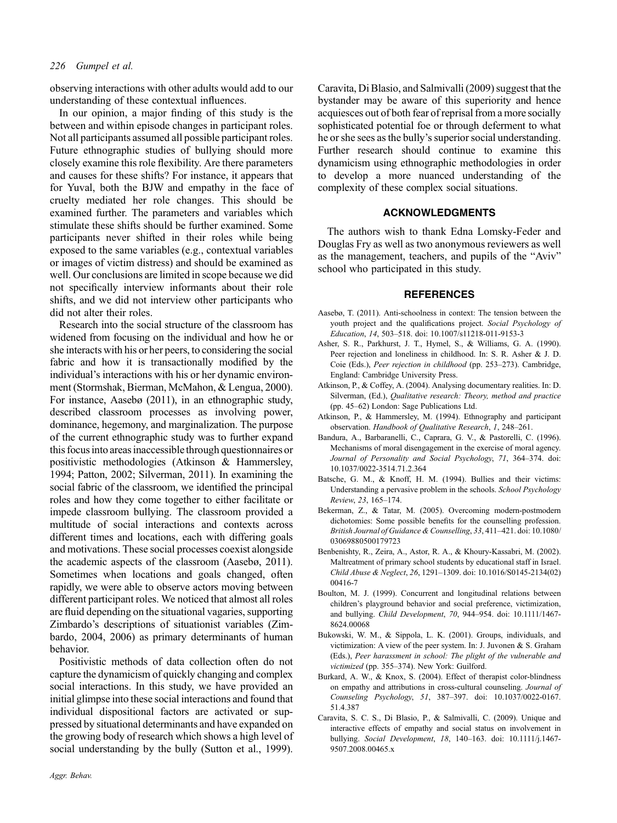observing interactions with other adults would add to our understanding of these contextual influences.

In our opinion, a major finding of this study is the between and within episode changes in participant roles. Not all participants assumed all possible participant roles. Future ethnographic studies of bullying should more closely examine this role flexibility. Are there parameters and causes for these shifts? For instance, it appears that for Yuval, both the BJW and empathy in the face of cruelty mediated her role changes. This should be examined further. The parameters and variables which stimulate these shifts should be further examined. Some participants never shifted in their roles while being exposed to the same variables (e.g., contextual variables or images of victim distress) and should be examined as well. Our conclusions are limited in scope because we did not specifically interview informants about their role shifts, and we did not interview other participants who did not alter their roles.

Research into the social structure of the classroom has widened from focusing on the individual and how he or she interacts with his or her peers, to considering the social fabric and how it is transactionally modified by the individual's interactions with his or her dynamic environment (Stormshak, Bierman, McMahon, & Lengua, 2000). For instance, Aasebø (2011), in an ethnographic study, described classroom processes as involving power, dominance, hegemony, and marginalization. The purpose of the current ethnographic study was to further expand this focus into areas inaccessiblethrough questionnaires or positivistic methodologies (Atkinson & Hammersley, 1994; Patton, 2002; Silverman, 2011). In examining the social fabric of the classroom, we identified the principal roles and how they come together to either facilitate or impede classroom bullying. The classroom provided a multitude of social interactions and contexts across different times and locations, each with differing goals and motivations. These social processes coexist alongside the academic aspects of the classroom (Aasebø, 2011). Sometimes when locations and goals changed, often rapidly, we were able to observe actors moving between different participant roles. We noticed that almost all roles are fluid depending on the situational vagaries, supporting Zimbardo's descriptions of situationist variables (Zimbardo, 2004, 2006) as primary determinants of human behavior.

Positivistic methods of data collection often do not capture the dynamicism of quickly changing and complex social interactions. In this study, we have provided an initial glimpse into these social interactions and found that individual dispositional factors are activated or suppressed by situational determinants and have expanded on the growing body of research which shows a high level of social understanding by the bully (Sutton et al., 1999).

Caravita, Di Blasio, and Salmivalli (2009) suggest that the bystander may be aware of this superiority and hence acquiesces out of both fear of reprisal from a more socially sophisticated potential foe or through deferment to what he or she sees as the bully's superior social understanding. Further research should continue to examine this dynamicism using ethnographic methodologies in order to develop a more nuanced understanding of the complexity of these complex social situations.

#### ACKNOWLEDGMENTS

The authors wish to thank Edna Lomsky‐Feder and Douglas Fry as well as two anonymous reviewers as well as the management, teachers, and pupils of the "Aviv" school who participated in this study.

#### **REFERENCES**

- Aasebø, T. (2011). Anti‐schoolness in context: The tension between the youth project and the qualifications project. Social Psychology of Education, 14, 503–518. doi: 10.1007/s11218‐011‐9153‐3
- Asher, S. R., Parkhurst, J. T., Hymel, S., & Williams, G. A. (1990). Peer rejection and loneliness in childhood. In: S. R. Asher & J. D. Coie (Eds.), Peer rejection in childhood (pp. 253–273). Cambridge, England: Cambridge University Press.
- Atkinson, P., & Coffey, A. (2004). Analysing documentary realities. In: D. Silverman, (Ed.), Qualitative research: Theory, method and practice (pp. 45–62) London: Sage Publications Ltd.
- Atkinson, P., & Hammersley, M. (1994). Ethnography and participant observation. Handbook of Qualitative Research, 1, 248–261.
- Bandura, A., Barbaranelli, C., Caprara, G. V., & Pastorelli, C. (1996). Mechanisms of moral disengagement in the exercise of moral agency. Journal of Personality and Social Psychology, 71, 364–374. doi: 10.1037/0022‐3514.71.2.364
- Batsche, G. M., & Knoff, H. M. (1994). Bullies and their victims: Understanding a pervasive problem in the schools. School Psychology Review, 23, 165–174.
- Bekerman, Z., & Tatar, M. (2005). Overcoming modern-postmodern dichotomies: Some possible benefits for the counselling profession. British Journal of Guidance & Counselling, 33, 411–421. doi: 10.1080/ 03069880500179723
- Benbenishty, R., Zeira, A., Astor, R. A., & Khoury‐Kassabri, M. (2002). Maltreatment of primary school students by educational staff in Israel. Child Abuse & Neglect, 26, 1291–1309. doi: 10.1016/S0145‐2134(02) 00416‐7
- Boulton, M. J. (1999). Concurrent and longitudinal relations between children's playground behavior and social preference, victimization, and bullying. Child Development, 70, 944–954. doi: 10.1111/1467‐ 8624.00068
- Bukowski, W. M., & Sippola, L. K. (2001). Groups, individuals, and victimization: A view of the peer system. In: J. Juvonen & S. Graham (Eds.), Peer harassment in school: The plight of the vulnerable and victimized (pp. 355–374). New York: Guilford.
- Burkard, A. W., & Knox, S. (2004). Effect of therapist color-blindness on empathy and attributions in cross-cultural counseling. Journal of Counseling Psychology, 51, 387–397. doi: 10.1037/0022‐0167. 51.4.387
- Caravita, S. C. S., Di Blasio, P., & Salmivalli, C. (2009). Unique and interactive effects of empathy and social status on involvement in bullying. Social Development, 18, 140–163. doi: 10.1111/j.1467‐ 9507.2008.00465.x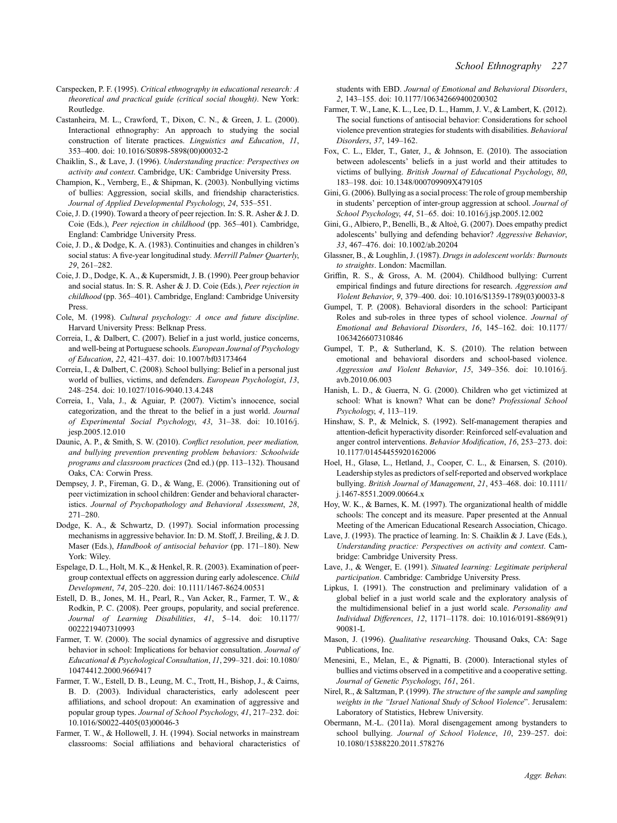- Carspecken, P. F. (1995). Critical ethnography in educational research: A theoretical and practical guide (critical social thought). New York: Routledge.
- Castanheira, M. L., Crawford, T., Dixon, C. N., & Green, J. L. (2000). Interactional ethnography: An approach to studying the social construction of literate practices. Linguistics and Education, 11, 353–400. doi: 10.1016/S0898‐5898(00)00032‐2
- Chaiklin, S., & Lave, J. (1996). Understanding practice: Perspectives on activity and context. Cambridge, UK: Cambridge University Press.
- Champion, K., Vernberg, E., & Shipman, K. (2003). Nonbullying victims of bullies: Aggression, social skills, and friendship characteristics. Journal of Applied Developmental Psychology, 24, 535–551.
- Coie, J. D. (1990). Toward a theory of peer rejection. In: S. R. Asher & J. D. Coie (Eds.), Peer rejection in childhood (pp. 365–401). Cambridge, England: Cambridge University Press.
- Coie, J. D., & Dodge, K. A. (1983). Continuities and changes in children's social status: A five-year longitudinal study. Merrill Palmer Quarterly, 29, 261–282.
- Coie, J. D., Dodge, K. A., & Kupersmidt, J. B. (1990). Peer group behavior and social status. In: S. R. Asher & J. D. Coie (Eds.), Peer rejection in childhood (pp. 365–401). Cambridge, England: Cambridge University Press.
- Cole, M. (1998). Cultural psychology: A once and future discipline. Harvard University Press: Belknap Press.
- Correia, I., & Dalbert, C. (2007). Belief in a just world, justice concerns, and well-being at Portuguese schools. European Journal of Psychology of Education, 22, 421–437. doi: 10.1007/bf03173464
- Correia, I., & Dalbert, C. (2008). School bullying: Belief in a personal just world of bullies, victims, and defenders. European Psychologist, 13, 248–254. doi: 10.1027/1016‐9040.13.4.248
- Correia, I., Vala, J., & Aguiar, P. (2007). Victim's innocence, social categorization, and the threat to the belief in a just world. Journal of Experimental Social Psychology, 43, 31–38. doi: 10.1016/j. jesp.2005.12.010
- Daunic, A. P., & Smith, S. W. (2010). Conflict resolution, peer mediation, and bullying prevention preventing problem behaviors: Schoolwide programs and classroom practices (2nd ed.) (pp. 113–132). Thousand Oaks, CA: Corwin Press.
- Dempsey, J. P., Fireman, G. D., & Wang, E. (2006). Transitioning out of peer victimization in school children: Gender and behavioral characteristics. Journal of Psychopathology and Behavioral Assessment, 28, 271–280.
- Dodge, K. A., & Schwartz, D. (1997). Social information processing mechanisms in aggressive behavior. In: D. M. Stoff, J. Breiling, & J. D. Maser (Eds.), Handbook of antisocial behavior (pp. 171–180). New York: Wiley.
- Espelage, D. L., Holt, M. K., & Henkel, R. R. (2003). Examination of peer‐ group contextual effects on aggression during early adolescence. Child Development, 74, 205–220. doi: 10.1111/1467‐8624.00531
- Estell, D. B., Jones, M. H., Pearl, R., Van Acker, R., Farmer, T. W., & Rodkin, P. C. (2008). Peer groups, popularity, and social preference. Journal of Learning Disabilities, 41, 5–14. doi: 10.1177/ 0022219407310993
- Farmer, T. W. (2000). The social dynamics of aggressive and disruptive behavior in school: Implications for behavior consultation. Journal of Educational & Psychological Consultation, 11, 299–321. doi: 10.1080/ 10474412.2000.9669417
- Farmer, T. W., Estell, D. B., Leung, M. C., Trott, H., Bishop, J., & Cairns, B. D. (2003). Individual characteristics, early adolescent peer affiliations, and school dropout: An examination of aggressive and popular group types. Journal of School Psychology, 41, 217–232. doi: 10.1016/S0022‐4405(03)00046‐3
- Farmer, T. W., & Hollowell, J. H. (1994). Social networks in mainstream classrooms: Social affiliations and behavioral characteristics of

students with EBD. Journal of Emotional and Behavioral Disorders, 2, 143–155. doi: 10.1177/106342669400200302

- Farmer, T. W., Lane, K. L., Lee, D. L., Hamm, J. V., & Lambert, K. (2012). The social functions of antisocial behavior: Considerations for school violence prevention strategies for students with disabilities. Behavioral Disorders, 37, 149–162.
- Fox, C. L., Elder, T., Gater, J., & Johnson, E. (2010). The association between adolescents' beliefs in a just world and their attitudes to victims of bullying. British Journal of Educational Psychology, 80, 183–198. doi: 10.1348/000709909X479105
- Gini, G. (2006). Bullying as a social process: The role of group membership in students' perception of inter-group aggression at school. Journal of School Psychology, 44, 51–65. doi: 10.1016/j.jsp.2005.12.002
- Gini, G., Albiero, P., Benelli, B., & Altoè, G. (2007). Does empathy predict adolescents' bullying and defending behavior? Aggressive Behavior, 33, 467–476. doi: 10.1002/ab.20204
- Glassner, B., & Loughlin, J. (1987). Drugs in adolescent worlds: Burnouts to straights. London: Macmillan.
- Griffin, R. S., & Gross, A. M. (2004). Childhood bullying: Current empirical findings and future directions for research. Aggression and Violent Behavior, 9, 379–400. doi: 10.1016/S1359‐1789(03)00033‐8
- Gumpel, T. P. (2008). Behavioral disorders in the school: Participant Roles and sub-roles in three types of school violence. Journal of Emotional and Behavioral Disorders, 16, 145–162. doi: 10.1177/ 1063426607310846
- Gumpel, T. P., & Sutherland, K. S. (2010). The relation between emotional and behavioral disorders and school‐based violence. Aggression and Violent Behavior, 15, 349–356. doi: 10.1016/j. avb.2010.06.003
- Hanish, L. D., & Guerra, N. G. (2000). Children who get victimized at school: What is known? What can be done? Professional School Psychology, 4, 113–119.
- Hinshaw, S. P., & Melnick, S. (1992). Self-management therapies and attention‐deficit hyperactivity disorder: Reinforced self‐evaluation and anger control interventions. Behavior Modification, 16, 253–273. doi: 10.1177/01454455920162006
- Hoel, H., Glasø, L., Hetland, J., Cooper, C. L., & Einarsen, S. (2010). Leadership styles as predictors of self‐reported and observed workplace bullying. British Journal of Management, 21, 453–468. doi: 10.1111/ j.1467‐8551.2009.00664.x
- Hoy, W. K., & Barnes, K. M. (1997). The organizational health of middle schools: The concept and its measure. Paper presented at the Annual Meeting of the American Educational Research Association, Chicago.
- Lave, J. (1993). The practice of learning. In: S. Chaiklin & J. Lave (Eds.), Understanding practice: Perspectives on activity and context. Cambridge: Cambridge University Press.
- Lave, J., & Wenger, E. (1991). Situated learning: Legitimate peripheral participation. Cambridge: Cambridge University Press.
- Lipkus, I. (1991). The construction and preliminary validation of a global belief in a just world scale and the exploratory analysis of the multidimensional belief in a just world scale. Personality and Individual Differences, 12, 1171–1178. doi: 10.1016/0191‐8869(91) 90081-L
- Mason, J. (1996). Qualitative researching. Thousand Oaks, CA: Sage Publications, Inc.
- Menesini, E., Melan, E., & Pignatti, B. (2000). Interactional styles of bullies and victims observed in a competitive and a cooperative setting. Journal of Genetic Psychology, 161, 261.
- Nirel, R., & Saltzman, P. (1999). The structure of the sample and sampling weights in the "Israel National Study of School Violence". Jerusalem: Laboratory of Statistics, Hebrew University.
- Obermann, M.‐L. (2011a). Moral disengagement among bystanders to school bullying. Journal of School Violence, 10, 239–257. doi: 10.1080/15388220.2011.578276